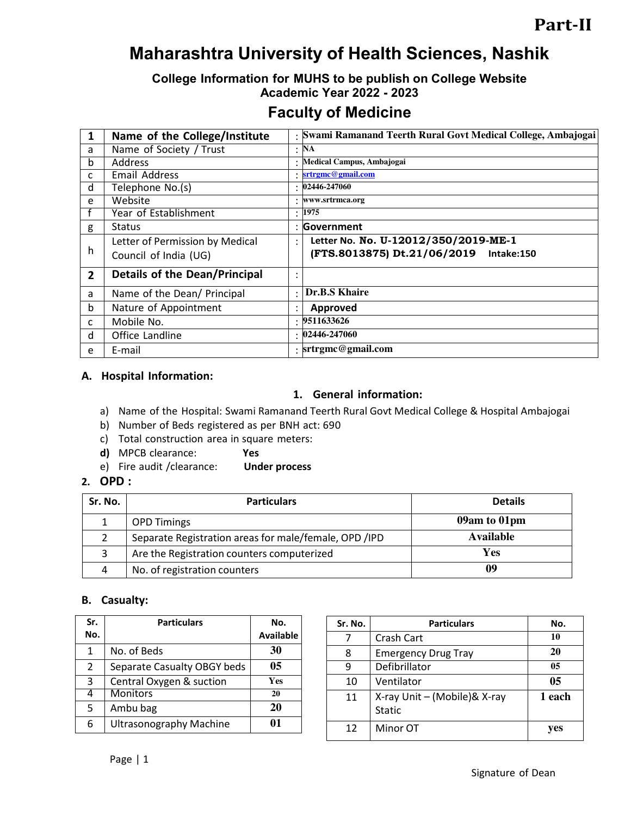# **Maharashtra University of Health Sciences, Nashik**

# **College Information for MUHS to be publish on College Website Academic Year 2022 - 2023**

# **Faculty of Medicine**

| 1              | Name of the College/Institute        |           | : Swami Ramanand Teerth Rural Govt Medical College, Ambajogai |
|----------------|--------------------------------------|-----------|---------------------------------------------------------------|
| a              | Name of Society / Trust              | $\bullet$ | <b>NA</b>                                                     |
| b              | Address                              |           | Medical Campus, Ambajogai                                     |
| C              | Email Address                        |           | srtrgmc@gmail.com                                             |
| d              | Telephone No.(s)                     |           | 02446-247060                                                  |
| e              | Website                              | ٠         | www.srtrmca.org                                               |
|                | Year of Establishment                |           | : 1975                                                        |
| g              | <b>Status</b>                        |           | Government                                                    |
|                | Letter of Permission by Medical      | ٠         | Letter No. No. U-12012/350/2019-ME-1                          |
| h              | Council of India (UG)                |           | (FTS.8013875) Dt.21/06/2019 Intake:150                        |
| $\overline{2}$ | <b>Details of the Dean/Principal</b> |           |                                                               |
| a              | Name of the Dean/ Principal          | $\bullet$ | Dr.B.S Khaire                                                 |
| $\mathsf{b}$   | Nature of Appointment                | ٠         | Approved                                                      |
| C              | Mobile No.                           | ٠         | 9511633626                                                    |
| d              | Office Landline                      |           | 02446-247060                                                  |
| e              | E-mail                               |           | $:$ srtrgmc@gmail.com                                         |

#### **A. Hospital Information:**

#### **1. General information:**

- a) Name of the Hospital: Swami Ramanand Teerth Rural Govt Medical College & Hospital Ambajogai
- b) Number of Beds registered as per BNH act: 690
- c) Total construction area in square meters:
- **d)** MPCB clearance: **Yes**
- e) Fire audit /clearance: **Under process**

#### **2. OPD :**

| Sr. No. | <b>Particulars</b>                                    | <b>Details</b> |
|---------|-------------------------------------------------------|----------------|
|         | <b>OPD Timings</b>                                    | 09am to 01pm   |
|         | Separate Registration areas for male/female, OPD /IPD | Available      |
| 3       | Are the Registration counters computerized            | Yes            |
|         | No. of registration counters                          | 09             |

#### **B. Casualty:**

| Sr.<br>No.     | <b>Particulars</b>             | No.<br><b>Available</b> |
|----------------|--------------------------------|-------------------------|
| 1              | No. of Beds                    | 30                      |
| $\overline{2}$ | Separate Casualty OBGY beds    | 05                      |
| 3              | Central Oxygen & suction       | Yes                     |
|                | <b>Monitors</b>                | 20                      |
| 5<br>Ambu bag  |                                | 20                      |
| 6              | <b>Ultrasonography Machine</b> |                         |

| Sr. No. | <b>Particulars</b>                            | No. |
|---------|-----------------------------------------------|-----|
| 7       | Crash Cart                                    | 10  |
| 8       | <b>Emergency Drug Tray</b>                    | 20  |
| 9       | Defibrillator                                 | 05  |
| 10      | Ventilator                                    | 05  |
| 11      | X-ray Unit - (Mobile)& X-ray<br><b>Static</b> |     |
| 12      | Minor OT                                      |     |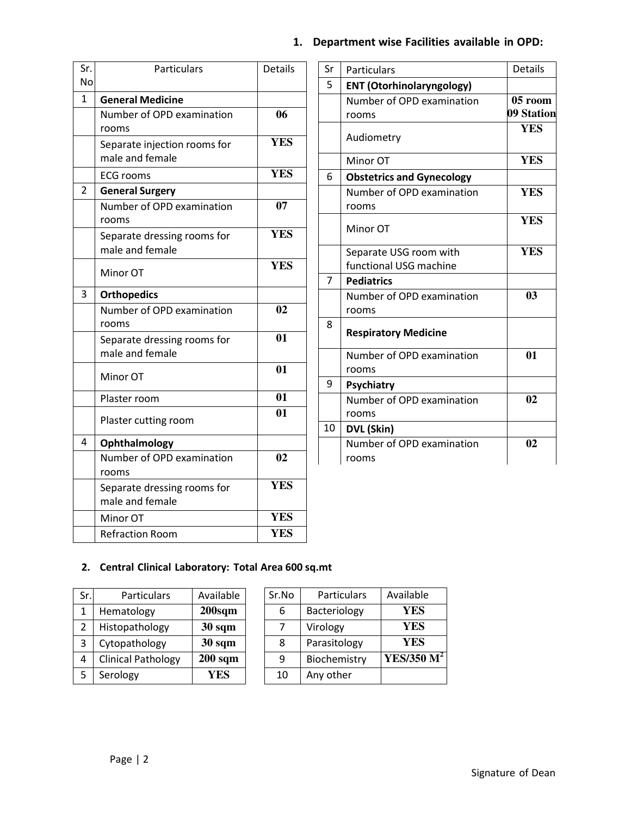| Sr.<br>No    | Particulars                                          | <b>Details</b> |
|--------------|------------------------------------------------------|----------------|
| $\mathbf{1}$ |                                                      |                |
|              | <b>General Medicine</b><br>Number of OPD examination | 06             |
|              | rooms                                                |                |
|              | Separate injection rooms for<br>male and female      | <b>YES</b>     |
|              | <b>ECG rooms</b>                                     | <b>YES</b>     |
| 2            | <b>General Surgery</b>                               |                |
|              | Number of OPD examination<br>rooms                   | 07             |
|              | Separate dressing rooms for<br>male and female       | <b>YES</b>     |
|              | Minor OT                                             | <b>YES</b>     |
| 3            | <b>Orthopedics</b>                                   |                |
|              | Number of OPD examination<br>rooms                   | 02             |
|              | Separate dressing rooms for<br>male and female       | 01             |
|              | Minor OT                                             | 01             |
|              | Plaster room                                         | 01             |
|              | Plaster cutting room                                 | 01             |
| 4            | Ophthalmology                                        |                |
|              | Number of OPD examination<br>rooms                   | 02             |
|              | Separate dressing rooms for<br>male and female       | <b>YES</b>     |
|              | Minor OT                                             | <b>YES</b>     |
|              | <b>Refraction Room</b>                               | <b>YES</b>     |

# **1. Department wise Facilities available in OPD:**

| Sr | Particulars                        | <b>Details</b> |
|----|------------------------------------|----------------|
| 5  | <b>ENT (Otorhinolaryngology)</b>   |                |
|    | Number of OPD examination          | 05 room        |
|    | rooms                              | 09 Station     |
|    | Audiometry                         | <b>YES</b>     |
|    | Minor OT                           | <b>YES</b>     |
| 6  | <b>Obstetrics and Gynecology</b>   |                |
|    | Number of OPD examination          | <b>YES</b>     |
|    | rooms                              |                |
|    | Minor OT                           | <b>YES</b>     |
|    | Separate USG room with             | <b>YES</b>     |
|    | functional USG machine             |                |
| 7  | <b>Pediatrics</b>                  |                |
|    | Number of OPD examination<br>rooms | 03             |
| 8  | <b>Respiratory Medicine</b>        |                |
|    | Number of OPD examination          | 01             |
|    | rooms                              |                |
| 9  | <b>Psychiatry</b>                  |                |
|    | Number of OPD examination          | 02             |
|    | rooms                              |                |
| 10 | DVL (Skin)                         |                |
|    | Number of OPD examination          | 02             |
|    | rooms                              |                |

### **2. Central Clinical Laboratory: Total Area 600 sq.mt**

| Sr. | Particulars               | Available          |
|-----|---------------------------|--------------------|
| 1   | Hematology                | 200 <sub>sqm</sub> |
| 2   | Histopathology            | $30 \text{ sqm}$   |
| 3   | Cytopathology             | 30 sqm             |
| 4   | <b>Clinical Pathology</b> | $200$ sqm          |
| 5   | Serology                  | YES                |

| Sr.No | Particulars  | Available     |
|-------|--------------|---------------|
| 6     | Bacteriology | YES           |
|       | Virology     | YES           |
| 8     | Parasitology | YES           |
| q     | Biochemistry | YES/350 $M^2$ |
| 10    | Any other    |               |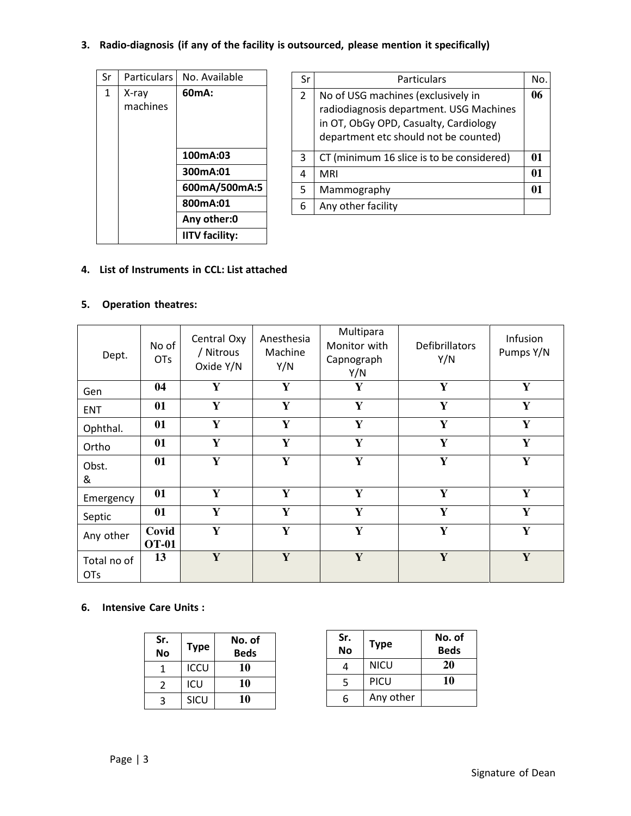## **3. Radio-diagnosis (if any of the facility is outsourced, please mention it specifically)**

| Sr | <b>Particulars</b> | No. Available         |
|----|--------------------|-----------------------|
| 1  | X-ray<br>machines  | 60mA:                 |
|    |                    | 100mA:03              |
|    |                    | 300mA:01              |
|    |                    | 600mA/500mA:5         |
|    |                    | 800mA:01              |
|    |                    | Any other:0           |
|    |                    | <b>IITV facility:</b> |

| Sr             | Particulars                                                                                                                                                     | Nο.          |
|----------------|-----------------------------------------------------------------------------------------------------------------------------------------------------------------|--------------|
| $\overline{2}$ | No of USG machines (exclusively in<br>radiodiagnosis department. USG Machines<br>in OT, ObGy OPD, Casualty, Cardiology<br>department etc should not be counted) | 06           |
| 3              | CT (minimum 16 slice is to be considered)                                                                                                                       | $\mathbf{0}$ |
| 4              | <b>MRI</b>                                                                                                                                                      | 01           |
| 5              | Mammography                                                                                                                                                     |              |
| 6              | Any other facility                                                                                                                                              |              |

#### **4. List of Instruments in CCL: List attached**

#### **5. Operation theatres:**

| Dept.                     | No of<br>OT <sub>S</sub> | Central Oxy<br>/ Nitrous<br>Oxide Y/N | Anesthesia<br>Machine<br>Y/N | Multipara<br>Monitor with<br>Capnograph<br>Y/N | Defibrillators<br>Y/N | Infusion<br>Pumps Y/N |
|---------------------------|--------------------------|---------------------------------------|------------------------------|------------------------------------------------|-----------------------|-----------------------|
| Gen                       | 04                       | Y                                     | Y                            | Y                                              | Y                     | Y                     |
| <b>ENT</b>                | 01                       | Y                                     | $\mathbf Y$                  | Y                                              | Y                     | Y                     |
| Ophthal.                  | 01                       | Y                                     | Y                            | Y                                              | Y                     | Y                     |
| Ortho                     | 01                       | Y                                     | Y                            | Y                                              | Y                     | Y                     |
| Obst.<br>&                | 01                       | Y                                     | ${\bf Y}$                    | Y                                              | Y                     | ${\bf Y}$             |
| Emergency                 | 01                       | Y                                     | Y                            | Y                                              | Y                     | Y                     |
| Septic                    | 01                       | Y                                     | Y                            | Y                                              | Y                     | Y                     |
| Any other                 | Covid<br><b>OT-01</b>    | Y                                     | Y                            | Y                                              | Y                     | Y                     |
| Total no of<br><b>OTs</b> | 13                       | Y                                     | Y                            | Y                                              | Y                     | Y                     |

#### **6. Intensive Care Units :**

| Sr.<br><b>No</b> | <b>Type</b> | No. of<br><b>Beds</b> |
|------------------|-------------|-----------------------|
|                  | <b>ICCU</b> | 10                    |
| 2                | ICU         | 10                    |
| ર                | SICU        | 10                    |

| Sr.<br><b>No</b> | <b>Type</b> | No. of<br><b>Beds</b> |
|------------------|-------------|-----------------------|
| 4                | NICU        | 20                    |
| 5                | PICU        | 10                    |
| 6                | Any other   |                       |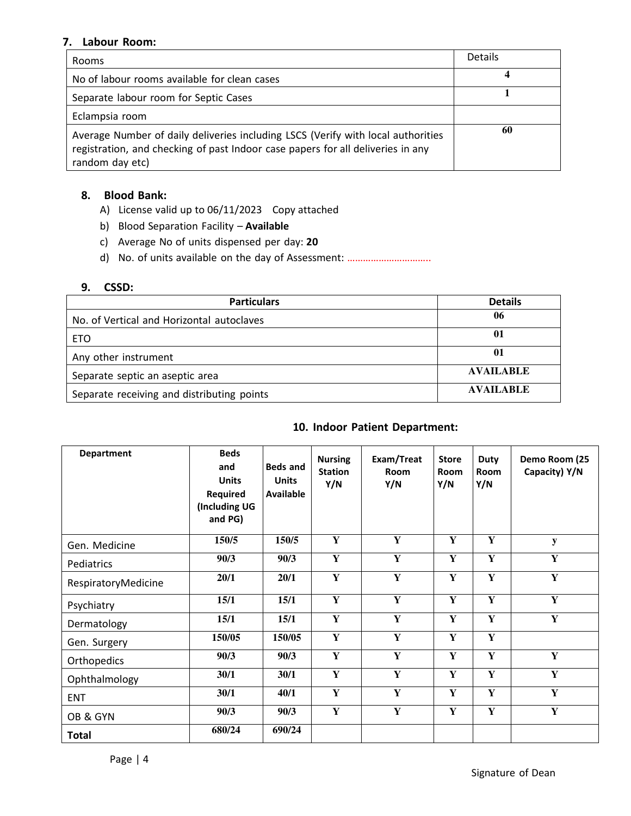#### **7. Labour Room:**

| <b>Rooms</b>                                                                                                                                                                           | <b>Details</b> |
|----------------------------------------------------------------------------------------------------------------------------------------------------------------------------------------|----------------|
| No of labour rooms available for clean cases                                                                                                                                           | 4              |
| Separate labour room for Septic Cases                                                                                                                                                  |                |
| Eclampsia room                                                                                                                                                                         |                |
| Average Number of daily deliveries including LSCS (Verify with local authorities<br>registration, and checking of past Indoor case papers for all deliveries in any<br>random day etc) | 60             |

#### **8. Blood Bank:**

- A) License valid up to 06/11/2023 Copy attached
- b) Blood Separation Facility **Available**
- c) Average No of units dispensed per day: **20**
- d) No. of units available on the day of Assessment: ...................................

#### **9. CSSD:**

| <b>Particulars</b>                         | <b>Details</b>   |
|--------------------------------------------|------------------|
| No. of Vertical and Horizontal autoclaves  | 06               |
| <b>ETO</b>                                 | 01               |
| Any other instrument                       | 01               |
| Separate septic an aseptic area            | <b>AVAILABLE</b> |
| Separate receiving and distributing points | <b>AVAILABLE</b> |

#### **10. Indoor Patient Department:**

| <b>Department</b>   | <b>Beds</b><br>and<br><b>Units</b><br>Required<br>(Including UG<br>and PG) | <b>Beds and</b><br><b>Units</b><br><b>Available</b> | <b>Nursing</b><br><b>Station</b><br>Y/N | Exam/Treat<br>Room<br>Y/N | <b>Store</b><br><b>Room</b><br>Y/N | <b>Duty</b><br>Room<br>Y/N | Demo Room (25<br>Capacity) Y/N |
|---------------------|----------------------------------------------------------------------------|-----------------------------------------------------|-----------------------------------------|---------------------------|------------------------------------|----------------------------|--------------------------------|
| Gen. Medicine       | 150/5                                                                      | 150/5                                               | Y                                       | Y                         | Y                                  | Y                          | $\mathbf y$                    |
| Pediatrics          | 90/3                                                                       | 90/3                                                | Y                                       | Y                         | Y                                  | Y                          | Y                              |
| RespiratoryMedicine | 20/1                                                                       | 20/1                                                | Y                                       | $\mathbf{Y}$              | Y                                  | Y                          | Y                              |
| Psychiatry          | 15/1                                                                       | 15/1                                                | $\mathbf Y$                             | Y                         | Y                                  | Y                          | Y                              |
| Dermatology         | 15/1                                                                       | 15/1                                                | Y                                       | Y                         | Y                                  | $\mathbf Y$                | Y                              |
| Gen. Surgery        | 150/05                                                                     | 150/05                                              | Y                                       | Y                         | Y                                  | Y                          |                                |
| Orthopedics         | 90/3                                                                       | 90/3                                                | Y                                       | Y                         | Y                                  | Y                          | $\mathbf Y$                    |
| Ophthalmology       | 30/1                                                                       | 30/1                                                | $\mathbf Y$                             | Y                         | Y                                  | Y                          | Y                              |
| <b>ENT</b>          | 30/1                                                                       | 40/1                                                | Y                                       | Y                         | Y                                  | Y                          | Y                              |
| OB & GYN            | 90/3                                                                       | 90/3                                                | Y                                       | Y                         | Y                                  | $\mathbf Y$                | $\mathbf Y$                    |
| Total               | 680/24                                                                     | 690/24                                              |                                         |                           |                                    |                            |                                |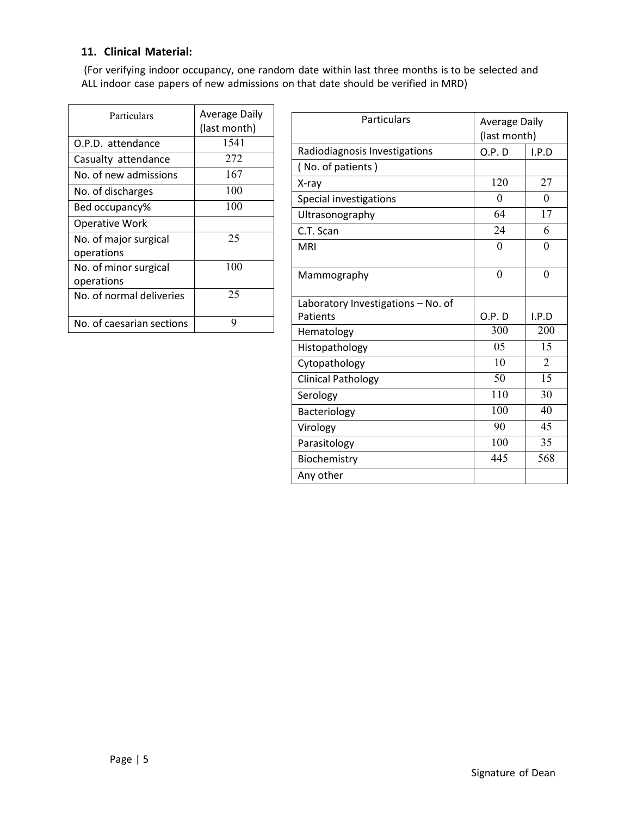### **11. Clinical Material:**

(For verifying indoor occupancy, one random date within last three months is to be selected and ALL indoor case papers of new admissions on that date should be verified in MRD)

| Particulars                         | <b>Average Daily</b><br>(last month) |
|-------------------------------------|--------------------------------------|
| O.P.D. attendance                   | 1541                                 |
| Casualty attendance                 | 272                                  |
| No. of new admissions               | 167                                  |
| No. of discharges                   | 100                                  |
| Bed occupancy%                      | 100                                  |
| <b>Operative Work</b>               |                                      |
| No. of major surgical<br>operations | 25                                   |
| No. of minor surgical<br>operations | 100                                  |
| No. of normal deliveries            | 25                                   |
| No. of caesarian sections           | 9                                    |

| Particulars                        | <b>Average Daily</b><br>(last month) |                |
|------------------------------------|--------------------------------------|----------------|
| Radiodiagnosis Investigations      | O.P.D                                | I.P.D          |
| (No. of patients)                  |                                      |                |
| X-ray                              | 120                                  | 27             |
| Special investigations             | 0                                    | 0              |
| Ultrasonography                    | 64                                   | 17             |
| C.T. Scan                          | 24                                   | 6              |
| <b>MRI</b>                         | $\theta$                             | 0              |
| Mammography                        | $\overline{0}$                       | $\overline{0}$ |
| Laboratory Investigations - No. of |                                      |                |
| Patients                           | O.P.D                                | I.P.D          |
| Hematology                         | 300                                  | 200            |
| Histopathology                     | 05                                   | 15             |
| Cytopathology                      | 10                                   | $\overline{2}$ |
| <b>Clinical Pathology</b>          | 50                                   | 15             |
| Serology                           | 110                                  | 30             |
| Bacteriology                       | 100                                  | 40             |
| Virology                           | 90                                   | 45             |
| Parasitology                       | 100                                  | 35             |
| Biochemistry                       | 445                                  | 568            |
| Any other                          |                                      |                |

Page | 5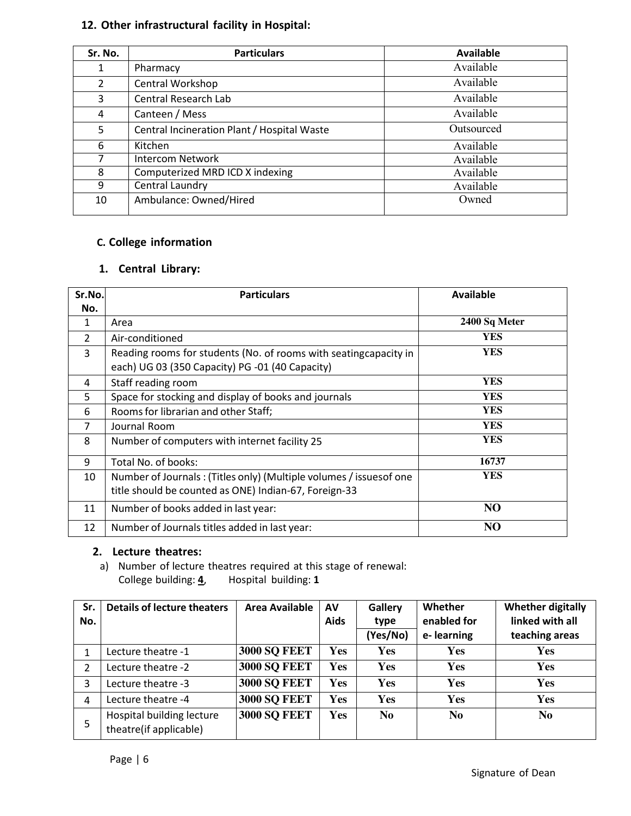# **12. Other infrastructural facility in Hospital:**

| Sr. No. | <b>Particulars</b>                          | <b>Available</b> |
|---------|---------------------------------------------|------------------|
| 1       | Pharmacy                                    | Available        |
| 2       | Central Workshop                            | Available        |
| 3       | <b>Central Research Lab</b>                 | Available        |
| 4       | Canteen / Mess                              | Available        |
| 5       | Central Incineration Plant / Hospital Waste | Outsourced       |
| 6       | Kitchen                                     | Available        |
| 7       | Intercom Network                            | Available        |
| 8       | Computerized MRD ICD X indexing             | Available        |
| 9       | Central Laundry                             | Available        |
| 10      | Ambulance: Owned/Hired                      | Owned            |

#### **C. College information**

## **1. Central Library:**

| Sr.No.         | <b>Particulars</b>                                                  | Available      |
|----------------|---------------------------------------------------------------------|----------------|
| No.            |                                                                     |                |
| 1              | Area                                                                | 2400 Sq Meter  |
| $\overline{2}$ | Air-conditioned                                                     | YES            |
| 3              | Reading rooms for students (No. of rooms with seating capacity in   | YES            |
|                | each) UG 03 (350 Capacity) PG -01 (40 Capacity)                     |                |
| 4              | Staff reading room                                                  | YES            |
| 5              | Space for stocking and display of books and journals                | YES            |
| 6              | Rooms for librarian and other Staff;                                | YES            |
|                | Journal Room                                                        | <b>YES</b>     |
| 8              | Number of computers with internet facility 25                       | YES            |
| 9              | Total No. of books:                                                 | 16737          |
| 10             | Number of Journals: (Titles only) (Multiple volumes / issues of one | YES            |
|                | title should be counted as ONE) Indian-67, Foreign-33               |                |
| 11             | Number of books added in last year:                                 | N <sub>O</sub> |
| 12             | Number of Journals titles added in last year:                       | N <sub>O</sub> |

### **2. Lecture theatres:**

a) Number of lecture theatres required at this stage of renewal:<br>College building:  $\underline{4}$ , Hospital building: 1 College building: **4**, Hospital building: **1**

| Sr.<br>No. | <b>Details of lecture theaters</b>                  | Area Available      | AV<br><b>Aids</b> | Gallery<br>type<br>(Yes/No) | Whether<br>enabled for<br>e-learning | <b>Whether digitally</b><br>linked with all<br>teaching areas |
|------------|-----------------------------------------------------|---------------------|-------------------|-----------------------------|--------------------------------------|---------------------------------------------------------------|
| 1          | Lecture theatre -1                                  | <b>3000 SQ FEET</b> | Yes               | Yes                         | <b>Yes</b>                           | <b>Yes</b>                                                    |
| 2          | Lecture theatre -2                                  | <b>3000 SQ FEET</b> | <b>Yes</b>        | Yes                         | Yes                                  | <b>Yes</b>                                                    |
| 3          | Lecture theatre -3                                  | <b>3000 SQ FEET</b> | Yes               | Yes                         | Yes                                  | <b>Yes</b>                                                    |
| 4          | Lecture theatre -4                                  | <b>3000 SQ FEET</b> | <b>Yes</b>        | Yes                         | Yes                                  | <b>Yes</b>                                                    |
| 5          | Hospital building lecture<br>theatre(if applicable) | <b>3000 SQ FEET</b> | <b>Yes</b>        | N <sub>0</sub>              | N <sub>0</sub>                       | No.                                                           |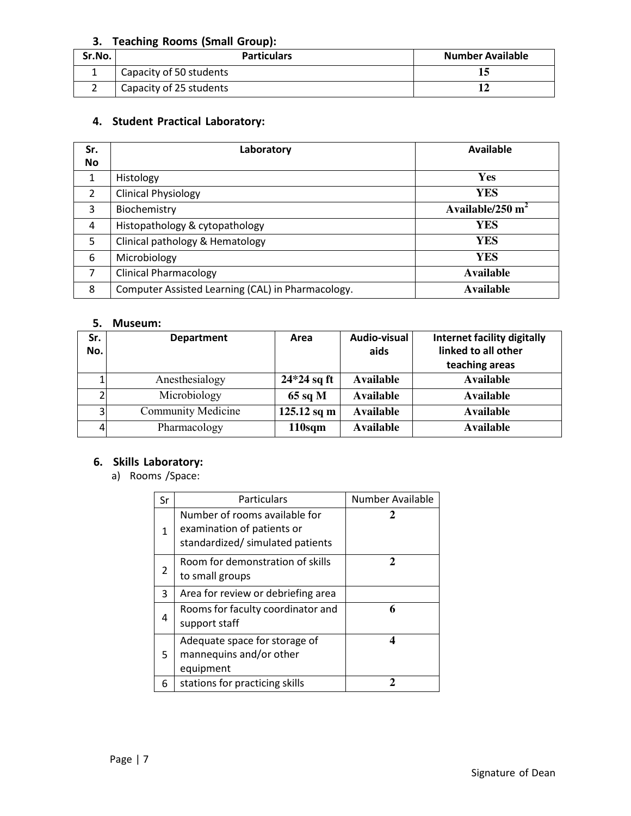#### **3. Teaching Rooms (Small Group):**

| Sr.No. | <b>Particulars</b>      | <b>Number Available</b> |
|--------|-------------------------|-------------------------|
|        | Capacity of 50 students |                         |
|        | Capacity of 25 students |                         |

# **4. Student Practical Laboratory:**

| Sr.<br><b>No</b> | Laboratory                                        | Available          |
|------------------|---------------------------------------------------|--------------------|
| 1                | Histology                                         | <b>Yes</b>         |
| $\overline{2}$   | <b>Clinical Physiology</b>                        | <b>YES</b>         |
| 3                | Biochemistry                                      | Available/250 $m2$ |
| 4                | Histopathology & cytopathology                    | YES                |
| 5                | Clinical pathology & Hematology                   | YES                |
| 6                | Microbiology                                      | YES                |
| 7                | <b>Clinical Pharmacology</b>                      | Available          |
| 8                | Computer Assisted Learning (CAL) in Pharmacology. | Available          |

#### **5. Museum:**

| Sr.<br>No.     | <b>Department</b>         | Area               | Audio-visual<br>aids | <b>Internet facility digitally</b><br>linked to all other<br>teaching areas |
|----------------|---------------------------|--------------------|----------------------|-----------------------------------------------------------------------------|
|                | Anesthesialogy            | $24*24$ sq ft      | Available            | <b>Available</b>                                                            |
|                | Microbiology              | $65$ sq M          | <b>Available</b>     | <b>Available</b>                                                            |
| 3 <sub>1</sub> | <b>Community Medicine</b> | $125.12$ sq m      | <b>Available</b>     | <b>Available</b>                                                            |
| 4              | Pharmacology              | 110 <sub>sqm</sub> | <b>Available</b>     | <b>Available</b>                                                            |

# **6. Skills Laboratory:**

a) Rooms /Space:

| Sr | Particulars                                                                                     | Number Available |
|----|-------------------------------------------------------------------------------------------------|------------------|
| 1  | Number of rooms available for<br>examination of patients or<br>standardized/ simulated patients | 2                |
| 2  | Room for demonstration of skills<br>to small groups                                             | 2                |
| 3  | Area for review or debriefing area                                                              |                  |
| 4  | Rooms for faculty coordinator and<br>support staff                                              | 6                |
| 5. | Adequate space for storage of<br>mannequins and/or other<br>equipment                           | 4                |
| 6  | stations for practicing skills                                                                  |                  |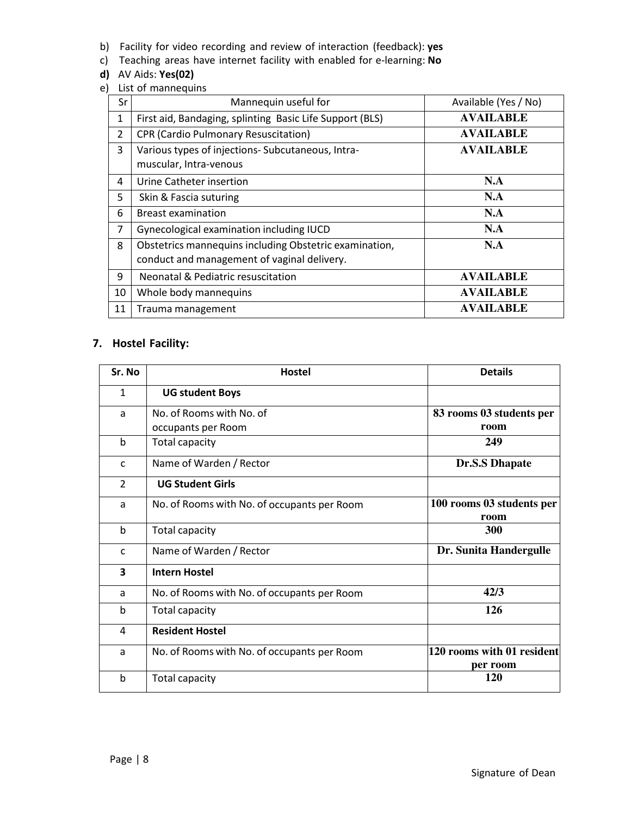- b) Facility for video recording and review of interaction (feedback): **yes**
- c) Teaching areas have internet facility with enabled for e-learning: **No**

#### **d)** AV Aids: **Yes(02)**

e) List of mannequins

| Sr             | Mannequin useful for                                     | Available (Yes / No) |
|----------------|----------------------------------------------------------|----------------------|
| 1              | First aid, Bandaging, splinting Basic Life Support (BLS) | <b>AVAILABLE</b>     |
| $\overline{2}$ | <b>CPR (Cardio Pulmonary Resuscitation)</b>              | <b>AVAILABLE</b>     |
| 3              | Various types of injections-Subcutaneous, Intra-         | <b>AVAILABLE</b>     |
|                | muscular, Intra-venous                                   |                      |
| 4              | Urine Catheter insertion                                 | N.A                  |
| 5              | Skin & Fascia suturing                                   | N.A                  |
| 6              | <b>Breast examination</b>                                | N.A                  |
| 7              | Gynecological examination including IUCD                 | N.A                  |
| 8              | Obstetrics mannequins including Obstetric examination,   | N.A                  |
|                | conduct and management of vaginal delivery.              |                      |
| 9              | <b>Neonatal &amp; Pediatric resuscitation</b>            | <b>AVAILABLE</b>     |
| 10             | Whole body mannequins                                    | <b>AVAILABLE</b>     |
| 11             | Trauma management                                        | AVAILABLE            |

## **7. Hostel Facility:**

| Sr. No         | <b>Hostel</b>                               | <b>Details</b>                         |
|----------------|---------------------------------------------|----------------------------------------|
| $\mathbf{1}$   | <b>UG student Boys</b>                      |                                        |
| a              | No. of Rooms with No. of                    | 83 rooms 03 students per               |
|                | occupants per Room                          | room                                   |
| $\mathbf b$    | <b>Total capacity</b>                       | 249                                    |
| $\mathsf{C}$   | Name of Warden / Rector                     | <b>Dr.S.S Dhapate</b>                  |
| $\overline{2}$ | <b>UG Student Girls</b>                     |                                        |
| a              | No. of Rooms with No. of occupants per Room | 100 rooms 03 students per<br>room      |
| $\mathbf b$    | Total capacity                              | 300                                    |
| $\mathsf{C}$   | Name of Warden / Rector                     | Dr. Sunita Handergulle                 |
| 3              | <b>Intern Hostel</b>                        |                                        |
| a              | No. of Rooms with No. of occupants per Room | 42/3                                   |
| b              | Total capacity                              | 126                                    |
| 4              | <b>Resident Hostel</b>                      |                                        |
| a              | No. of Rooms with No. of occupants per Room | 120 rooms with 01 resident<br>per room |
| b              | Total capacity                              | <b>120</b>                             |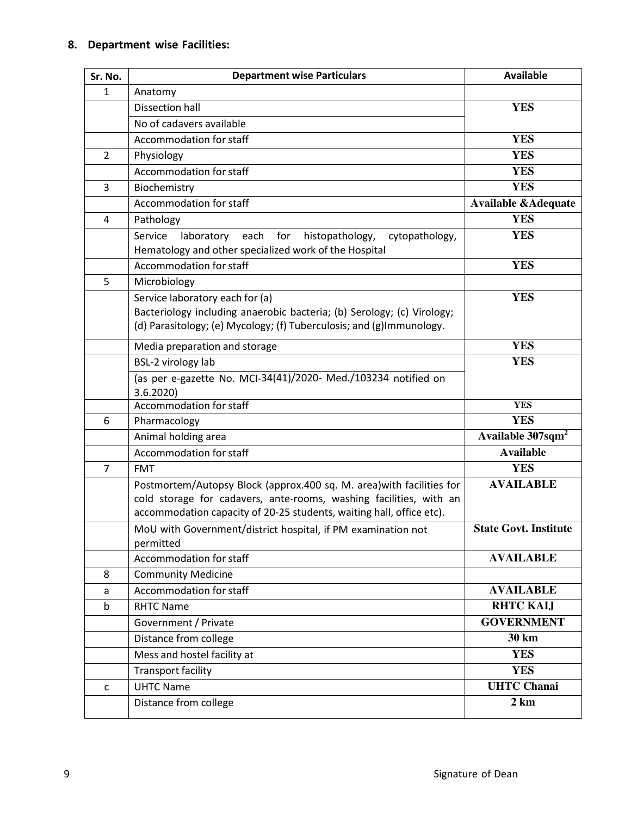### **8. Department wise Facilities:**

| Sr. No.        | <b>Department wise Particulars</b>                                         | <b>Available</b>               |
|----------------|----------------------------------------------------------------------------|--------------------------------|
| $\mathbf{1}$   | Anatomy                                                                    |                                |
|                | <b>Dissection hall</b>                                                     | <b>YES</b>                     |
|                | No of cadavers available                                                   |                                |
|                | Accommodation for staff                                                    | <b>YES</b>                     |
| $\overline{2}$ | Physiology                                                                 | <b>YES</b>                     |
|                | Accommodation for staff                                                    | <b>YES</b>                     |
| 3              | Biochemistry                                                               | <b>YES</b>                     |
|                | Accommodation for staff                                                    | <b>Available &amp;Adequate</b> |
| 4              | Pathology                                                                  | <b>YES</b>                     |
|                | Service<br>laboratory each<br>for<br>histopathology,<br>cytopathology,     | <b>YES</b>                     |
|                | Hematology and other specialized work of the Hospital                      |                                |
|                | Accommodation for staff                                                    | <b>YES</b>                     |
| 5              | Microbiology                                                               |                                |
|                | Service laboratory each for (a)                                            | <b>YES</b>                     |
|                | Bacteriology including anaerobic bacteria; (b) Serology; (c) Virology;     |                                |
|                | (d) Parasitology; (e) Mycology; (f) Tuberculosis; and (g)Immunology.       |                                |
|                | Media preparation and storage                                              | <b>YES</b>                     |
|                | BSL-2 virology lab                                                         | <b>YES</b>                     |
|                | (as per e-gazette No. MCI-34(41)/2020- Med./103234 notified on<br>3.6.2020 |                                |
|                | Accommodation for staff                                                    | <b>YES</b>                     |
| 6              | Pharmacology                                                               | <b>YES</b>                     |
|                | Animal holding area                                                        | Available 307sqm <sup>2</sup>  |
|                | Accommodation for staff                                                    | <b>Available</b>               |
| $\overline{7}$ | <b>FMT</b>                                                                 | <b>YES</b>                     |
|                | Postmortem/Autopsy Block (approx.400 sq. M. area) with facilities for      | <b>AVAILABLE</b>               |
|                | cold storage for cadavers, ante-rooms, washing facilities, with an         |                                |
|                | accommodation capacity of 20-25 students, waiting hall, office etc).       | <b>State Govt. Institute</b>   |
|                | MoU with Government/district hospital, if PM examination not<br>permitted  |                                |
|                | Accommodation for staff                                                    | <b>AVAILABLE</b>               |
| 8              | <b>Community Medicine</b>                                                  |                                |
| a              | Accommodation for staff                                                    | <b>AVAILABLE</b>               |
| $\mathsf b$    | <b>RHTC Name</b>                                                           | <b>RHTC KAIJ</b>               |
|                | Government / Private                                                       | <b>GOVERNMENT</b>              |
|                | Distance from college                                                      | 30 km                          |
|                | Mess and hostel facility at                                                | <b>YES</b>                     |
|                | <b>Transport facility</b>                                                  | <b>YES</b>                     |
| $\mathsf{C}$   | <b>UHTC Name</b>                                                           | <b>UHTC Chanai</b>             |
|                | Distance from college                                                      | 2 km                           |
|                |                                                                            |                                |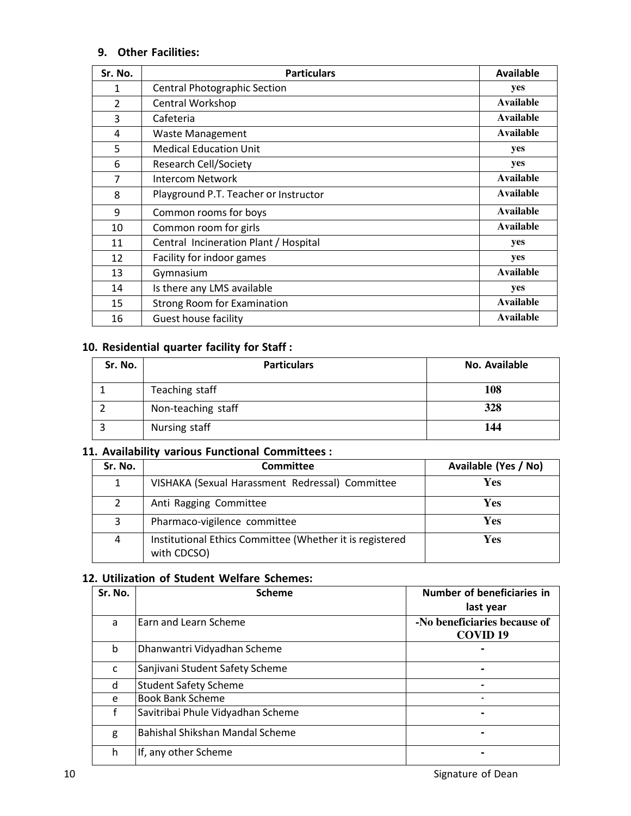# **9. Other Facilities:**

| Sr. No.        | <b>Particulars</b>                    | <b>Available</b> |
|----------------|---------------------------------------|------------------|
| 1              | <b>Central Photographic Section</b>   | yes              |
| $\overline{2}$ | Central Workshop                      | Available        |
| 3              | Cafeteria                             | <b>Available</b> |
| 4              | Waste Management                      | Available        |
| 5              | <b>Medical Education Unit</b>         | yes              |
| 6              | <b>Research Cell/Society</b>          | yes              |
| 7              | Intercom Network                      | Available        |
| 8              | Playground P.T. Teacher or Instructor | Available        |
| 9              | Common rooms for boys                 | Available        |
| 10             | Common room for girls                 | <b>Available</b> |
| 11             | Central Incineration Plant / Hospital | yes              |
| 12             | Facility for indoor games             | yes              |
| 13             | Gymnasium                             | Available        |
| 14             | Is there any LMS available            | yes              |
| 15             | <b>Strong Room for Examination</b>    | Available        |
| 16             | Guest house facility                  | Available        |

## **10. Residential quarter facility for Staff :**

| Sr. No. | <b>Particulars</b> | No. Available |
|---------|--------------------|---------------|
|         | Teaching staff     | 108           |
|         | Non-teaching staff | 328           |
|         | Nursing staff      | 144           |

# **11. Availability various Functional Committees :**

| Sr. No. | Committee                                                               | Available (Yes / No) |
|---------|-------------------------------------------------------------------------|----------------------|
| 1       | VISHAKA (Sexual Harassment Redressal) Committee                         | <b>Yes</b>           |
| 2       | Anti Ragging Committee                                                  | Yes                  |
| 3       | Pharmaco-vigilence committee                                            | <b>Yes</b>           |
| 4       | Institutional Ethics Committee (Whether it is registered<br>with CDCSO) | Yes                  |

## **12. Utilization of Student Welfare Schemes:**

| Sr. No. | <b>Scheme</b>                     | Number of beneficiaries in<br>last year         |
|---------|-----------------------------------|-------------------------------------------------|
| a       | Earn and Learn Scheme             | -No beneficiaries because of<br><b>COVID 19</b> |
| b       | Dhanwantri Vidyadhan Scheme       |                                                 |
| C       | Sanjivani Student Safety Scheme   |                                                 |
| d       | <b>Student Safety Scheme</b>      |                                                 |
| e       | <b>Book Bank Scheme</b>           |                                                 |
| f       | Savitribai Phule Vidyadhan Scheme |                                                 |
| g       | Bahishal Shikshan Mandal Scheme   | -                                               |
| h       | If, any other Scheme              |                                                 |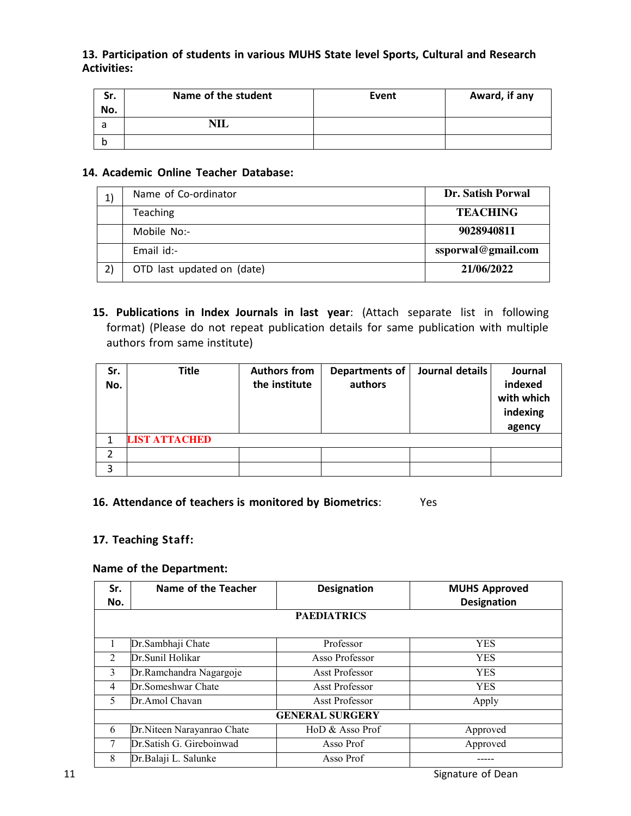#### **13. Participation of students in various MUHS State level Sports, Cultural and Research Activities:**

| Sr.<br>No. | Name of the student | Event | Award, if any |
|------------|---------------------|-------|---------------|
| а          | NШ                  |       |               |
|            |                     |       |               |

#### **14. Academic Online Teacher Database:**

| $\mathbf{1}$ | Name of Co-ordinator       | Dr. Satish Porwal  |
|--------------|----------------------------|--------------------|
|              | <b>Teaching</b>            | <b>TEACHING</b>    |
|              | Mobile No:-                | 9028940811         |
|              | Email id:-                 | ssporwal@gmail.com |
| 2)           | OTD last updated on (date) | 21/06/2022         |

**15. Publications in Index Journals in last year**: (Attach separate list in following format) (Please do not repeat publication details for same publication with multiple authors from same institute)

| Sr.<br>No. | <b>Title</b>         | <b>Authors from</b><br>the institute | Departments of<br>authors | Journal details | Journal<br>indexed<br>with which<br>indexing<br>agency |
|------------|----------------------|--------------------------------------|---------------------------|-----------------|--------------------------------------------------------|
|            | <b>LIST ATTACHED</b> |                                      |                           |                 |                                                        |
| 2          |                      |                                      |                           |                 |                                                        |
| 3          |                      |                                      |                           |                 |                                                        |

### **16. Attendance of teachers is monitored by Biometrics**: Yes

#### **17. Teaching Staff:**

#### **Name of the Department:**

| Sr.<br>No.     | Name of the Teacher         | <b>Designation</b>    | <b>MUHS Approved</b><br><b>Designation</b> |  |  |
|----------------|-----------------------------|-----------------------|--------------------------------------------|--|--|
|                | <b>PAEDIATRICS</b>          |                       |                                            |  |  |
| 1              | Dr.Sambhaji Chate           | Professor             | <b>YES</b>                                 |  |  |
| 2              | Dr. Sunil Holikar           | Asso Professor        | <b>YES</b>                                 |  |  |
| 3              | Dr.Ramchandra Nagargoje     | <b>Asst Professor</b> | <b>YES</b>                                 |  |  |
| $\overline{4}$ | Dr. Someshwar Chate         | <b>Asst Professor</b> | <b>YES</b>                                 |  |  |
| 5              | Dr.Amol Chavan              | Asst Professor        | Apply                                      |  |  |
|                | <b>GENERAL SURGERY</b>      |                       |                                            |  |  |
| 6              | Dr. Niteen Narayanrao Chate | HoD & Asso Prof       | Approved                                   |  |  |
|                | Dr. Satish G. Gireboinwad   | Asso Prof             | Approved                                   |  |  |
| 8              | Dr. Balaji L. Salunke       | Asso Prof             |                                            |  |  |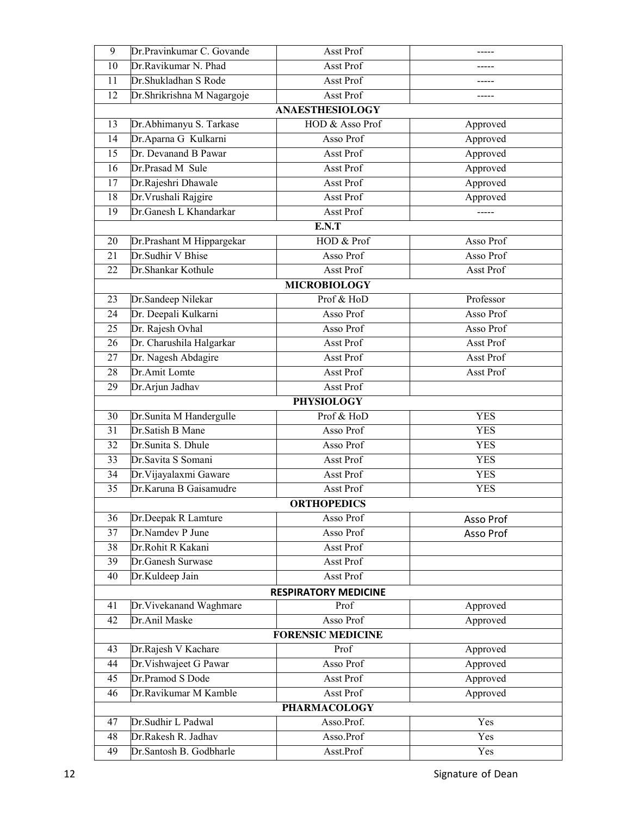| 9                        | Dr.Pravinkumar C. Govande           | Asst Prof                         |            |  |  |  |  |
|--------------------------|-------------------------------------|-----------------------------------|------------|--|--|--|--|
| 10                       | Dr.Ravikumar N. Phad                | <b>Asst Prof</b>                  |            |  |  |  |  |
| 11                       | Dr.Shukladhan S Rode                | Asst Prof                         |            |  |  |  |  |
| 12                       | Dr.Shrikrishna M Nagargoje          | Asst Prof                         | -----      |  |  |  |  |
|                          |                                     | <b>ANAESTHESIOLOGY</b>            |            |  |  |  |  |
| 13                       | Dr. Abhimanyu S. Tarkase            | HOD & Asso Prof                   | Approved   |  |  |  |  |
| 14                       | Dr. Aparna G Kulkarni               | Asso Prof                         | Approved   |  |  |  |  |
| 15                       | Dr. Devanand B Pawar                | Asst Prof                         | Approved   |  |  |  |  |
| 16                       | Dr.Prasad M Sule                    | Asst Prof                         | Approved   |  |  |  |  |
| 17                       | Dr.Rajeshri Dhawale                 | Asst Prof                         | Approved   |  |  |  |  |
| 18                       | Dr. Vrushali Rajgire                | <b>Asst Prof</b>                  | Approved   |  |  |  |  |
| 19                       | Dr.Ganesh L Khandarkar              | Asst Prof                         | -----      |  |  |  |  |
|                          |                                     | E.N.T                             |            |  |  |  |  |
| 20                       | Dr.Prashant M Hippargekar           | HOD & Prof                        | Asso Prof  |  |  |  |  |
| 21                       | Dr.Sudhir V Bhise                   | Asso Prof                         | Asso Prof  |  |  |  |  |
| 22                       | Dr.Shankar Kothule                  | Asst Prof                         | Asst Prof  |  |  |  |  |
|                          |                                     | <b>MICROBIOLOGY</b>               |            |  |  |  |  |
| 23                       | Dr.Sandeep Nilekar                  | Prof & HoD                        | Professor  |  |  |  |  |
| 24                       | Dr. Deepali Kulkarni                | Asso Prof                         | Asso Prof  |  |  |  |  |
| 25                       | Dr. Rajesh Ovhal                    | Asso Prof                         | Asso Prof  |  |  |  |  |
| 26                       | Dr. Charushila Halgarkar            | Asst Prof                         | Asst Prof  |  |  |  |  |
| 27                       | Dr. Nagesh Abdagire                 | Asst Prof                         | Asst Prof  |  |  |  |  |
| 28                       | Dr.Amit Lomte                       | Asst Prof                         | Asst Prof  |  |  |  |  |
| 29                       | Dr.Arjun Jadhav                     | Asst Prof                         |            |  |  |  |  |
|                          |                                     | <b>PHYSIOLOGY</b>                 |            |  |  |  |  |
| 30                       | Dr.Sunita M Handergulle             | Prof & HoD                        | <b>YES</b> |  |  |  |  |
| 31                       | Dr.Satish B Mane                    | Asso Prof                         | <b>YES</b> |  |  |  |  |
| 32                       | Dr.Sunita S. Dhule                  | Asso Prof                         | <b>YES</b> |  |  |  |  |
| 33                       | Dr.Savita S Somani                  | Asst Prof                         | <b>YES</b> |  |  |  |  |
| 34                       | Dr. Vijayalaxmi Gaware              | <b>Asst Prof</b>                  | <b>YES</b> |  |  |  |  |
| 35                       | Dr.Karuna B Gaisamudre<br>Asst Prof |                                   | <b>YES</b> |  |  |  |  |
|                          | <b>ORTHOPEDICS</b>                  |                                   |            |  |  |  |  |
| 36                       | Dr.Deepak R Lamture                 | Asso Prof                         | Asso Prof  |  |  |  |  |
| 37                       | Dr.Namdev P June                    | Asso Prof                         | Asso Prof  |  |  |  |  |
| 38                       | Dr.Rohit R Kakani                   | <b>Asst Prof</b>                  |            |  |  |  |  |
| 39                       | Dr.Ganesh Surwase                   | Asst Prof                         |            |  |  |  |  |
| 40                       | Dr.Kuldeep Jain                     | Asst Prof                         |            |  |  |  |  |
|                          |                                     | <b>RESPIRATORY MEDICINE</b>       |            |  |  |  |  |
| 41                       | Dr. Vivekanand Waghmare             | Prof                              | Approved   |  |  |  |  |
| 42                       | Dr.Anil Maske                       | Asso Prof                         | Approved   |  |  |  |  |
| <b>FORENSIC MEDICINE</b> |                                     |                                   |            |  |  |  |  |
| 43                       | Dr.Rajesh V Kachare                 | Prof                              | Approved   |  |  |  |  |
| 44                       | Dr. Vishwajeet G Pawar              | Asso Prof                         | Approved   |  |  |  |  |
| 45                       | Dr.Pramod S Dode                    | Asst Prof                         | Approved   |  |  |  |  |
| 46                       | Dr.Ravikumar M Kamble               | Asst Prof                         | Approved   |  |  |  |  |
| 47                       | Dr.Sudhir L Padwal                  | <b>PHARMACOLOGY</b><br>Asso.Prof. | Yes        |  |  |  |  |
| 48                       | Dr.Rakesh R. Jadhav                 |                                   | Yes        |  |  |  |  |
|                          |                                     | Asso.Prof                         |            |  |  |  |  |
| 49                       | Dr.Santosh B. Godbharle             | Asst.Prof                         | Yes        |  |  |  |  |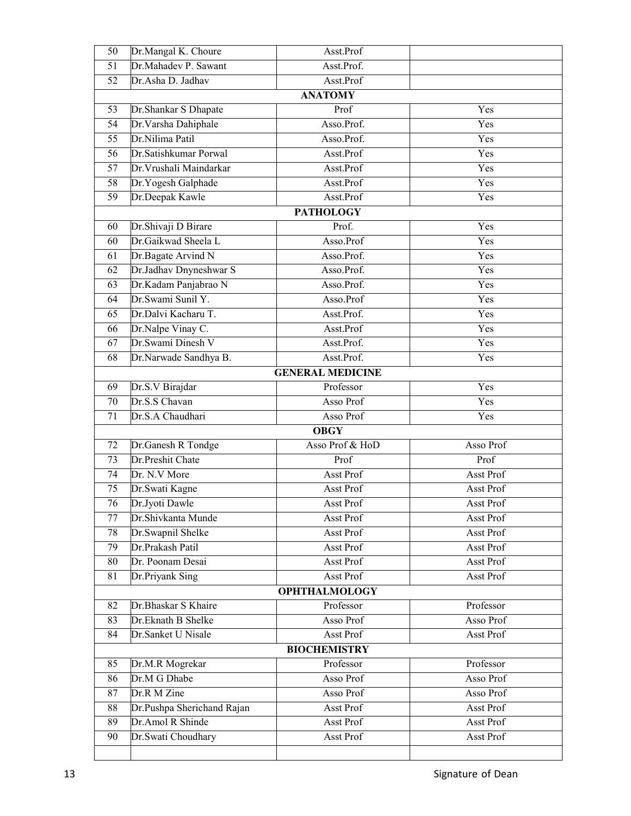| 50                                                       | Dr.Mangal K. Choure                            | Asst.Prof               |                        |  |  |  |  |
|----------------------------------------------------------|------------------------------------------------|-------------------------|------------------------|--|--|--|--|
| 51                                                       | Dr.Mahadev P. Sawant                           | Asst.Prof.              |                        |  |  |  |  |
| 52                                                       | Dr.Asha D. Jadhav                              | Asst.Prof               |                        |  |  |  |  |
| <b>ANATOMY</b>                                           |                                                |                         |                        |  |  |  |  |
| 53                                                       | Dr.Shankar S Dhapate                           | Prof                    | Yes                    |  |  |  |  |
| 54                                                       | Dr. Varsha Dahiphale                           | Asso.Prof.              | Yes                    |  |  |  |  |
| 55                                                       | Dr.Nilima Patil                                | Asso.Prof.              | Yes                    |  |  |  |  |
| 56                                                       | Dr.Satishkumar Porwal                          | Asst.Prof               | Yes                    |  |  |  |  |
| 57                                                       | Dr. Vrushali Maindarkar                        | Asst.Prof               | Yes                    |  |  |  |  |
| 58                                                       | Dr.Yogesh Galphade                             | Asst.Prof               | Yes                    |  |  |  |  |
| $\overline{59}$                                          | Dr.Deepak Kawle                                | Asst.Prof               | Yes                    |  |  |  |  |
|                                                          |                                                | <b>PATHOLOGY</b>        |                        |  |  |  |  |
| 60                                                       | Dr.Shivaji D Birare                            | Prof.                   | Yes                    |  |  |  |  |
| 60                                                       | Dr.Gaikwad Sheela L                            | Asso.Prof               | Yes                    |  |  |  |  |
| 61                                                       | Dr.Bagate Arvind N                             | Asso.Prof.              | Yes                    |  |  |  |  |
| 62                                                       | Dr.Jadhav Dnyneshwar S                         | Asso.Prof.              | Yes                    |  |  |  |  |
| 63                                                       | Dr.Kadam Panjabrao N                           | Asso.Prof.              | Yes                    |  |  |  |  |
| 64                                                       | Dr.Swami Sunil Y.                              | Asso.Prof               | Yes                    |  |  |  |  |
| 65                                                       | Dr.Dalvi Kacharu T.                            | Asst.Prof.              | Yes                    |  |  |  |  |
| 66                                                       | Dr.Nalpe Vinay C.                              | Asst.Prof               | Yes                    |  |  |  |  |
| 67                                                       | Dr.Swami Dinesh V                              | Asst.Prof.              | Yes                    |  |  |  |  |
| 68                                                       | Dr.Narwade Sandhya B.                          | Asst.Prof.              | Yes                    |  |  |  |  |
|                                                          |                                                | <b>GENERAL MEDICINE</b> |                        |  |  |  |  |
| 69                                                       | Dr.S.V Birajdar                                | Professor               | Yes                    |  |  |  |  |
| 70                                                       | Dr.S.S Chavan                                  | Asso Prof               | Yes                    |  |  |  |  |
| 71                                                       | Dr.S.A Chaudhari                               | Asso Prof               | Yes                    |  |  |  |  |
|                                                          | <b>OBGY</b>                                    |                         |                        |  |  |  |  |
| Dr.Ganesh R Tondge<br>Asso Prof & HoD<br>Asso Prof<br>72 |                                                |                         |                        |  |  |  |  |
| 73                                                       | Dr.Preshit Chate                               | Prof                    | Prof                   |  |  |  |  |
| 74                                                       | Dr. N.V More                                   | Asst Prof               | Asst Prof              |  |  |  |  |
| 75                                                       | Dr. Swati Kagne                                | Asst Prof               | Asst Prof              |  |  |  |  |
| 76                                                       | Dr.Jyoti Dawle                                 | Asst Prof               | Asst Prof              |  |  |  |  |
| 77                                                       | Dr.Shivkanta Munde                             | Asst Prof               | Asst Prof              |  |  |  |  |
| 78                                                       | Dr.Swapnil Shelke                              | Asst Prof               | <b>Asst Prof</b>       |  |  |  |  |
| 79                                                       | Dr.Prakash Patil                               | Asst Prof               | Asst Prof              |  |  |  |  |
| 80                                                       | Dr. Poonam Desai                               | Asst Prof               | Asst Prof              |  |  |  |  |
| 81                                                       | Dr.Priyank Sing                                | Asst Prof               | Asst Prof              |  |  |  |  |
| <b>OPHTHALMOLOGY</b>                                     |                                                |                         |                        |  |  |  |  |
| 82                                                       | Dr.Bhaskar S Khaire                            | Professor               | Professor              |  |  |  |  |
| 83                                                       | Dr.Eknath B Shelke                             | Asso Prof               | Asso Prof              |  |  |  |  |
| 84                                                       | Dr.Sanket U Nisale                             | Asst Prof               | Asst Prof              |  |  |  |  |
| <b>BIOCHEMISTRY</b>                                      |                                                |                         |                        |  |  |  |  |
| 85                                                       | Dr.M.R Mogrekar                                | Professor               | Professor              |  |  |  |  |
| 86                                                       | Dr.M G Dhabe                                   | Asso Prof               | Asso Prof              |  |  |  |  |
| 87                                                       | Dr.R M Zine                                    | Asso Prof               | Asso Prof              |  |  |  |  |
| 88<br>89                                                 | Dr.Pushpa Sherichand Rajan<br>Dr.Amol R Shinde | Asst Prof<br>Asst Prof  | Asst Prof<br>Asst Prof |  |  |  |  |
| 90                                                       | Dr.Swati Choudhary                             | Asst Prof               | Asst Prof              |  |  |  |  |
|                                                          |                                                |                         |                        |  |  |  |  |
|                                                          |                                                |                         |                        |  |  |  |  |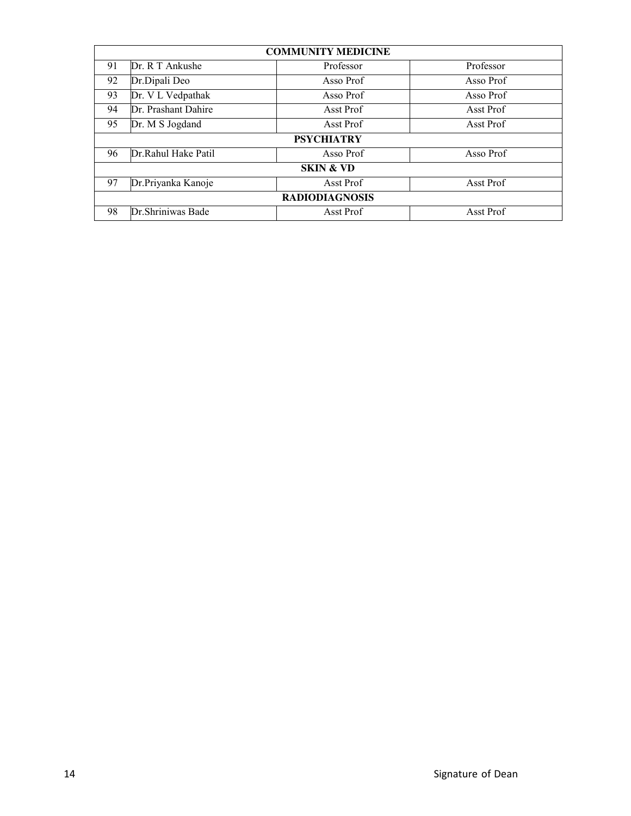| <b>COMMUNITY MEDICINE</b> |                     |                        |           |  |  |
|---------------------------|---------------------|------------------------|-----------|--|--|
| 91                        | Dr. R T Ankushe     | Professor<br>Professor |           |  |  |
| 92                        | Dr.Dipali Deo       | Asso Prof<br>Asso Prof |           |  |  |
| 93                        | Dr. V L Vedpathak   | Asso Prof<br>Asso Prof |           |  |  |
| 94                        | Dr. Prashant Dahire | Asst Prof              | Asst Prof |  |  |
| 95<br>Dr. M S Jogdand     |                     | Asst Prof              | Asst Prof |  |  |
|                           |                     | <b>PSYCHIATRY</b>      |           |  |  |
| 96                        | Dr.Rahul Hake Patil | Asso Prof              | Asso Prof |  |  |
| <b>SKIN &amp; VD</b>      |                     |                        |           |  |  |
| 97                        | Dr.Priyanka Kanoje  | Asst Prof              | Asst Prof |  |  |
| <b>RADIODIAGNOSIS</b>     |                     |                        |           |  |  |
| 98                        | Dr.Shriniwas Bade   | Asst Prof              | Asst Prof |  |  |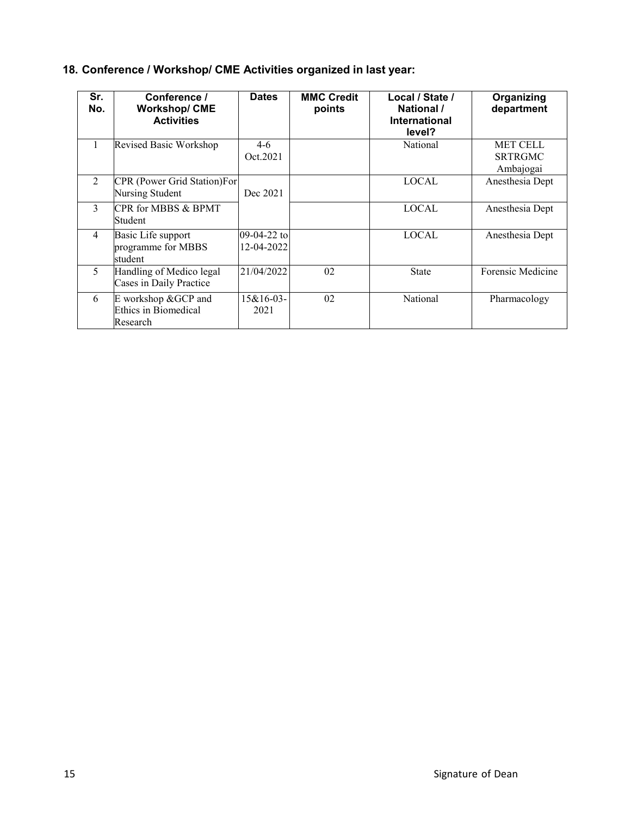|  |  |  |  |  |  | 18. Conference / Workshop/ CME Activities organized in last year: |
|--|--|--|--|--|--|-------------------------------------------------------------------|
|--|--|--|--|--|--|-------------------------------------------------------------------|

| Sr.<br>No.   | Conference /<br><b>Workshop/CME</b><br><b>Activities</b>     | <b>Dates</b>              | <b>MMC Credit</b><br>points | Local / State /<br>National /<br><b>International</b><br>level? | Organizing<br>department                       |
|--------------|--------------------------------------------------------------|---------------------------|-----------------------------|-----------------------------------------------------------------|------------------------------------------------|
| 1            | Revised Basic Workshop                                       | $4-6$<br>Oct.2021         |                             | National                                                        | <b>MET CELL</b><br><b>SRTRGMC</b><br>Ambajogai |
| 2            | <b>CPR</b> (Power Grid Station)For<br><b>Nursing Student</b> | Dec 2021                  |                             | <b>LOCAL</b>                                                    | Anesthesia Dept                                |
| $\mathbf{3}$ | CPR for MBBS & BPMT<br>Student                               |                           |                             | <b>LOCAL</b>                                                    | Anesthesia Dept                                |
| 4            | Basic Life support<br>programme for MBBS<br>student          | 09-04-22 to<br>12-04-2022 |                             | <b>LOCAL</b>                                                    | Anesthesia Dept                                |
| 5            | Handling of Medico legal<br>Cases in Daily Practice          | 21/04/2022                | 02                          | <b>State</b>                                                    | Forensic Medicine                              |
| 6            | E workshop &GCP and<br>Ethics in Biomedical<br>Research      | 15&16-03-<br>2021         | 02                          | National                                                        | Pharmacology                                   |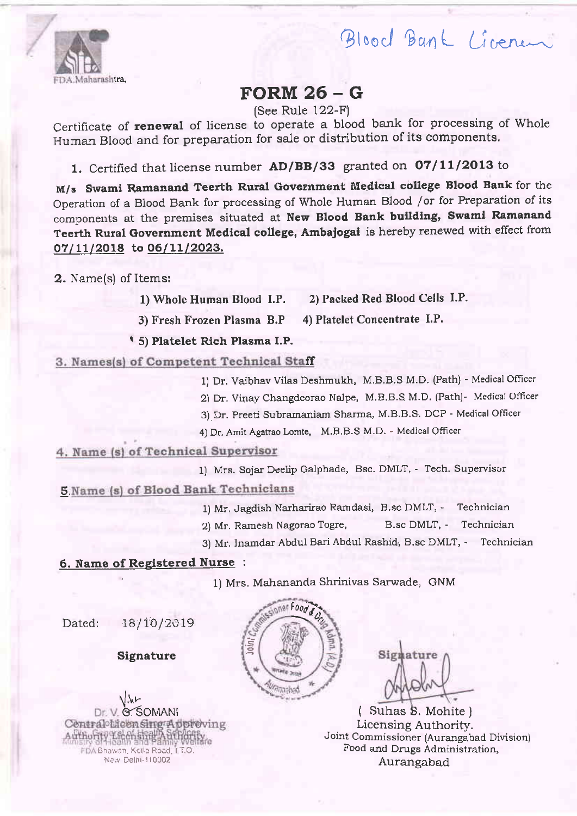

# Maharashtra,

# FORM 26 - <sup>G</sup>

(See Rule 122-F)

Certificate of **renewal** of license to operate a blood bank for processing of Whole Human Blood and for preparation for sale or distribution of its components,

1. Certified that license number AD/BB/33 granted on 07/11/2013 to

M/s Swami Ramanand Teerth Rural Government Medical college Blood Bank for the Operation of a Biood Bank for processing of Whole Human Blood /or for Preparatton of its components at the premises situated at New Blood Bank building, Swami Ramanand Teerth Rural Government Medical college, Ambajogai is hereby renewed with effect from 07/11/2018 to 06/11/2023.

2. Name(s) of Items:

1) Whole Human Blood I.P. 2) Packed Red Blood Cells I.P.

3) Fresh Frozen Plasma B.P 4) Platelet Concentrate I.P.

r 5) Platelet Rich Plasma I.P.

3. Names(s) of Competent Technical Staff

1) Dr. Vaibhav Vilas Deshmukh, M.B.B.S M.D. (Path) - Medical Officer

2) Dr. Vinay Changdeorao Nalpe, M.E.B.S M.D. (Path)- Medical Officer

3) Dr. Preeti Subramaniam Sharma, M.B.B.S. DCP - Medical Officer

4) Dr. Amit Agatrao Lomte, M.B.B.S M.D. - Medical Officer

## 4. Name (s) of Technical Supervisor

1) Mrs. Sojar Deelip Galphade, Bsc. DMLT, - Tech. Supervisor 5 Name (s) of Blood Bank Technicians

1) Mr. Jagdish Narharirao Ramdasi, B.sc DMLT, - Technician

2) Mr. Ramesh Nagorao Togre, B.sc DMLT, - Technician

3) Mr. Inamdar Abdul Bari Abdul Rashid, B.sc DMLT, - Technician

#### 6. Name of Registered Nurse :

1) Mrs. Mahananda Shrinivas Sarwade, GNM

Dated: 18/10/2019

Slgnature

rl.ur **B**SOMANI Authority Liberal Street, Street, EDA Bhawan, Kotla Road, I T.O. New Delhi-110002



Signature

Licensing Authority. Joint Commissioner (Aurangabad Division) Food and Drugs Administration, Aurangabad ( Suhas S. Mohite )